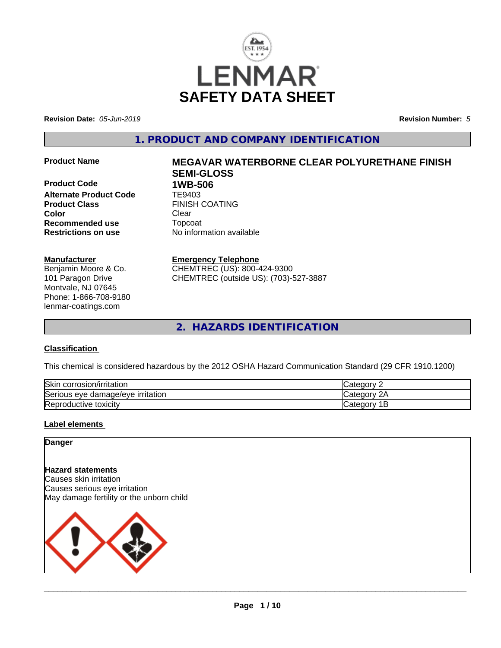

**Revision Date:** *05-Jun-2019* **Revision Number:** *5*

**1. PRODUCT AND COMPANY IDENTIFICATION**

**Product Code 1WB-506**<br>**Alternate Product Code 1E9403 Alternate Product Code Product Class** FINISH COATING **Color** Clear Clear **Recommended use** Topcoat **Restrictions on use** No information available

# **Manufacturer**

Benjamin Moore & Co. 101 Paragon Drive Montvale, NJ 07645 Phone: 1-866-708-9180 lenmar-coatings.com

# **Product Name MEGAVAR WATERBORNE CLEAR POLYURETHANE FINISH SEMI-GLOSS**

**Emergency Telephone** CHEMTREC (US): 800-424-9300 CHEMTREC (outside US): (703)-527-3887

**2. HAZARDS IDENTIFICATION**

# **Classification**

This chemical is considered hazardous by the 2012 OSHA Hazard Communication Standard (29 CFR 1910.1200)

| <b>Skin</b><br>corrosion/irritation | ∵ategorس           |
|-------------------------------------|--------------------|
| Serious eye damage/eye irritation   | ົ<br>Categor<br>∠г |
| Reproductive toxicity               | Categor<br>ــ      |

# **Label elements**

# **Danger**

# **Hazard statements**

Causes skin irritation Causes serious eye irritation May damage fertility or the unborn child

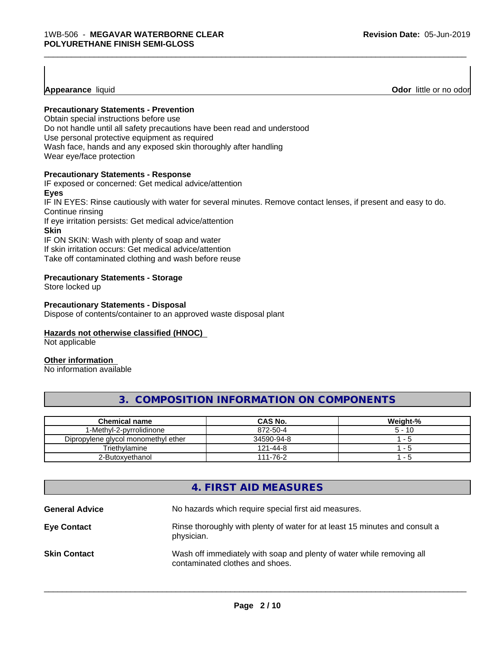**Appearance** liquid **Odor**  little or no odor

# **Precautionary Statements - Prevention**

Obtain special instructions before use Do not handle until all safety precautions have been read and understood Use personal protective equipment as required Wash face, hands and any exposed skin thoroughly after handling Wear eye/face protection

# **Precautionary Statements - Response**

IF exposed or concerned: Get medical advice/attention

# **Eyes**

IF IN EYES: Rinse cautiously with water for several minutes. Remove contact lenses, if present and easy to do. Continue rinsing

\_\_\_\_\_\_\_\_\_\_\_\_\_\_\_\_\_\_\_\_\_\_\_\_\_\_\_\_\_\_\_\_\_\_\_\_\_\_\_\_\_\_\_\_\_\_\_\_\_\_\_\_\_\_\_\_\_\_\_\_\_\_\_\_\_\_\_\_\_\_\_\_\_\_\_\_\_\_\_\_\_\_\_\_\_\_\_\_\_\_\_\_\_

If eye irritation persists: Get medical advice/attention

# **Skin**

IF ON SKIN: Wash with plenty of soap and water If skin irritation occurs: Get medical advice/attention Take off contaminated clothing and wash before reuse

# **Precautionary Statements - Storage**

Store locked up

## **Precautionary Statements - Disposal**

Dispose of contents/container to an approved waste disposal plant

# **Hazards not otherwise classified (HNOC)**

Not applicable

#### **Other information**

No information available

# **3. COMPOSITION INFORMATION ON COMPONENTS**

| Chemical name                       | <b>CAS No.</b> | Weight-% |
|-------------------------------------|----------------|----------|
| I-Methvl-2-pvrrolidinone            | 872-50-4       | $5 - 10$ |
| Dipropylene glycol monomethyl ether | 34590-94-8     | - 5      |
| Triethvlamine                       | 121-44-8       | .        |
| 2-Butoxvethanol                     | 111-76-2       | - 5      |

# **4. FIRST AID MEASURES**

| <b>General Advice</b> | No hazards which require special first aid measures.                                                     |
|-----------------------|----------------------------------------------------------------------------------------------------------|
| <b>Eye Contact</b>    | Rinse thoroughly with plenty of water for at least 15 minutes and consult a<br>physician.                |
| <b>Skin Contact</b>   | Wash off immediately with soap and plenty of water while removing all<br>contaminated clothes and shoes. |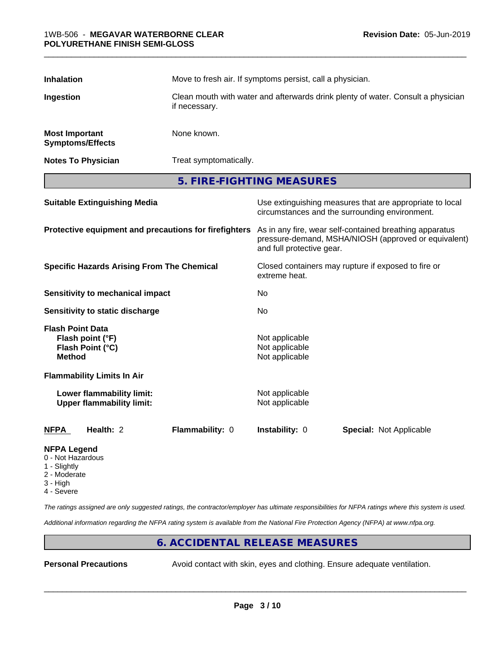| <b>Inhalation</b>                                     |                                                               | Move to fresh air. If symptoms persist, call a physician.<br>Clean mouth with water and afterwards drink plenty of water. Consult a physician<br>if necessary. |                                                     |                                                                                                                 |
|-------------------------------------------------------|---------------------------------------------------------------|----------------------------------------------------------------------------------------------------------------------------------------------------------------|-----------------------------------------------------|-----------------------------------------------------------------------------------------------------------------|
| Ingestion                                             |                                                               |                                                                                                                                                                |                                                     |                                                                                                                 |
| <b>Most Important</b>                                 | <b>Symptoms/Effects</b>                                       | None known.                                                                                                                                                    |                                                     |                                                                                                                 |
|                                                       | <b>Notes To Physician</b>                                     | Treat symptomatically.                                                                                                                                         |                                                     |                                                                                                                 |
|                                                       |                                                               |                                                                                                                                                                | 5. FIRE-FIGHTING MEASURES                           |                                                                                                                 |
|                                                       | <b>Suitable Extinguishing Media</b>                           |                                                                                                                                                                |                                                     | Use extinguishing measures that are appropriate to local<br>circumstances and the surrounding environment.      |
|                                                       |                                                               | Protective equipment and precautions for firefighters                                                                                                          | and full protective gear.                           | As in any fire, wear self-contained breathing apparatus<br>pressure-demand, MSHA/NIOSH (approved or equivalent) |
| <b>Specific Hazards Arising From The Chemical</b>     |                                                               | extreme heat.                                                                                                                                                  | Closed containers may rupture if exposed to fire or |                                                                                                                 |
|                                                       | Sensitivity to mechanical impact                              |                                                                                                                                                                | No                                                  |                                                                                                                 |
|                                                       | Sensitivity to static discharge                               |                                                                                                                                                                | No.                                                 |                                                                                                                 |
| <b>Flash Point Data</b><br><b>Method</b>              | Flash point (°F)<br>Flash Point (°C)                          |                                                                                                                                                                | Not applicable<br>Not applicable<br>Not applicable  |                                                                                                                 |
|                                                       | <b>Flammability Limits In Air</b>                             |                                                                                                                                                                |                                                     |                                                                                                                 |
|                                                       | Lower flammability limit:<br><b>Upper flammability limit:</b> |                                                                                                                                                                | Not applicable<br>Not applicable                    |                                                                                                                 |
| <b>NFPA</b>                                           | Health: 2                                                     | Flammability: 0                                                                                                                                                | Instability: 0                                      | <b>Special: Not Applicable</b>                                                                                  |
| <b>NFPA Legend</b><br>0 - Not Hazardous<br>4 Cliabthr |                                                               |                                                                                                                                                                |                                                     |                                                                                                                 |

- 1 Slightly
- 2 Moderate
- 3 High
- 4 Severe

*The ratings assigned are only suggested ratings, the contractor/employer has ultimate responsibilities for NFPA ratings where this system is used.*

*Additional information regarding the NFPA rating system is available from the National Fire Protection Agency (NFPA) at www.nfpa.org.*

# **6. ACCIDENTAL RELEASE MEASURES**

**Personal Precautions** Avoid contact with skin, eyes and clothing. Ensure adequate ventilation.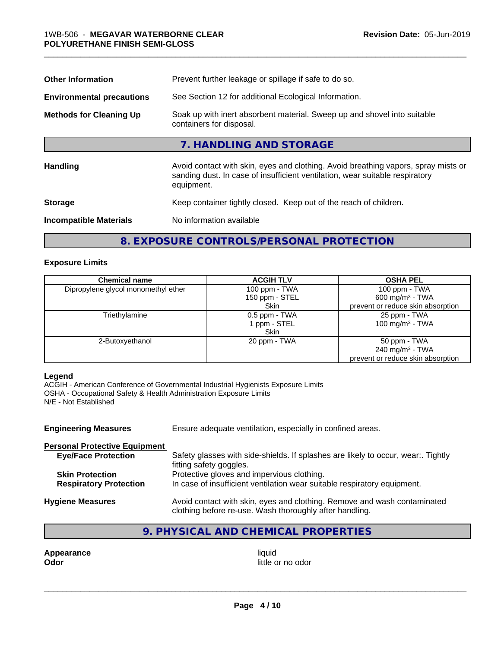| <b>Other Information</b>         | Prevent further leakage or spillage if safe to do so.                                                                                                                            |  |  |
|----------------------------------|----------------------------------------------------------------------------------------------------------------------------------------------------------------------------------|--|--|
| <b>Environmental precautions</b> | See Section 12 for additional Ecological Information.                                                                                                                            |  |  |
| <b>Methods for Cleaning Up</b>   | Soak up with inert absorbent material. Sweep up and shovel into suitable<br>containers for disposal.                                                                             |  |  |
|                                  | 7. HANDLING AND STORAGE                                                                                                                                                          |  |  |
| <b>Handling</b>                  | Avoid contact with skin, eyes and clothing. Avoid breathing vapors, spray mists or<br>sanding dust. In case of insufficient ventilation, wear suitable respiratory<br>equipment. |  |  |
| <b>Storage</b>                   | Keep container tightly closed. Keep out of the reach of children.                                                                                                                |  |  |
| <b>Incompatible Materials</b>    | No information available                                                                                                                                                         |  |  |
|                                  |                                                                                                                                                                                  |  |  |

# **8. EXPOSURE CONTROLS/PERSONAL PROTECTION**

# **Exposure Limits**

| <b>Chemical name</b>                | <b>ACGIH TLV</b> | <b>OSHA PEL</b>                   |
|-------------------------------------|------------------|-----------------------------------|
| Dipropylene glycol monomethyl ether | 100 ppm - TWA    | 100 ppm - $TWA$                   |
|                                     | 150 ppm - STEL   | 600 mg/m $3$ - TWA                |
|                                     | <b>Skin</b>      | prevent or reduce skin absorption |
| Triethylamine                       | 0.5 ppm - TWA    | 25 ppm - TWA                      |
|                                     | l ppm - STEL     | 100 mg/m $3$ - TWA                |
|                                     | <b>Skin</b>      |                                   |
| 2-Butoxyethanol                     | 20 ppm - TWA     | 50 ppm - TWA                      |
|                                     |                  | 240 mg/m $3$ - TWA                |
|                                     |                  | prevent or reduce skin absorption |

# **Legend**

ACGIH - American Conference of Governmental Industrial Hygienists Exposure Limits OSHA - Occupational Safety & Health Administration Exposure Limits N/E - Not Established

| <b>Engineering Measures</b>          | Ensure adequate ventilation, especially in confined areas.                                                                          |
|--------------------------------------|-------------------------------------------------------------------------------------------------------------------------------------|
| <b>Personal Protective Equipment</b> |                                                                                                                                     |
| <b>Eye/Face Protection</b>           | Safety glasses with side-shields. If splashes are likely to occur, wear:. Tightly<br>fitting safety goggles.                        |
| <b>Skin Protection</b>               | Protective gloves and impervious clothing.                                                                                          |
| <b>Respiratory Protection</b>        | In case of insufficient ventilation wear suitable respiratory equipment.                                                            |
| <b>Hygiene Measures</b>              | Avoid contact with skin, eyes and clothing. Remove and wash contaminated<br>clothing before re-use. Wash thoroughly after handling. |

# **9. PHYSICAL AND CHEMICAL PROPERTIES**

**Appearance** liquid **and a set of the contract of the contract of the contract of the contract of the contract of the contract of the contract of the contract of the contract of the contract of the contract of the contract** 

little or no odor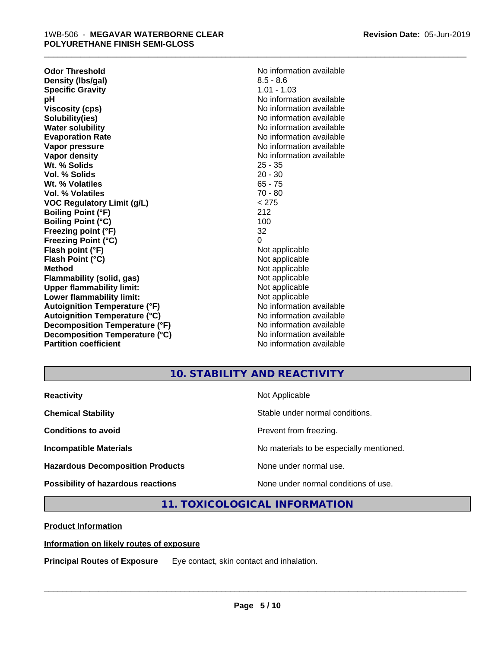**Odor Threshold**<br> **Density (Ibs/gal)**<br> **Density (Ibs/gal)**<br> **No information available**<br>  $8.5 - 8.6$ **Density (Ibs/gal)** 8.5 - 8.6<br> **Specific Gravity** 8.5 - 8.6 **Specific Gravity pH** No information available **Viscosity (cps)** No information available in the Viscosity (cps) **Solubility(ies)** No information available **Water solubility** No information available **Evaporation Rate No information available No information available Vapor pressure** No information available **No information** available **Vapor density No information available No information available Wt. % Solids** 25 - 35 **Vol. % Solids** 20 - 30 **Wt. % Volatiles** 65 - 75 **Vol. % Volatiles VOC Regulatory Limit (g/L)** < 275 **Boiling Point (°F)** 212 **Boiling Point (°C) Freezing point (°F)** 32 **Freezing Point (°C)** 0 **Flash point (°F)** Not applicable **Flash Point (°C)** Not applicable **Method**<br> **Flammability (solid, gas)**<br> **Example 2018** Not applicable **Flammability** (solid, gas) **Upper flammability limit:**<br> **Lower flammability limit:**<br>
Not applicable<br>
Not applicable **Lower flammability limit:**<br> **Autoignition Temperature (°F)**<br>
Mo information available **Autoignition Temperature (°F) Autoignition Temperature (°C)** No information available **Decomposition Temperature (°F)** No information available **Decomposition Temperature (°C)** No information available **Partition coefficient** and the settlement of the settlement of the No information available

\_\_\_\_\_\_\_\_\_\_\_\_\_\_\_\_\_\_\_\_\_\_\_\_\_\_\_\_\_\_\_\_\_\_\_\_\_\_\_\_\_\_\_\_\_\_\_\_\_\_\_\_\_\_\_\_\_\_\_\_\_\_\_\_\_\_\_\_\_\_\_\_\_\_\_\_\_\_\_\_\_\_\_\_\_\_\_\_\_\_\_\_\_

# **10. STABILITY AND REACTIVITY**

| <b>Reactivity</b>                         | Not Applicable                           |
|-------------------------------------------|------------------------------------------|
| <b>Chemical Stability</b>                 | Stable under normal conditions.          |
| <b>Conditions to avoid</b>                | Prevent from freezing.                   |
| <b>Incompatible Materials</b>             | No materials to be especially mentioned. |
| <b>Hazardous Decomposition Products</b>   | None under normal use.                   |
| <b>Possibility of hazardous reactions</b> | None under normal conditions of use.     |

# **11. TOXICOLOGICAL INFORMATION**

**Product Information**

# **Information on likely routes of exposure**

**Principal Routes of Exposure** Eye contact, skin contact and inhalation.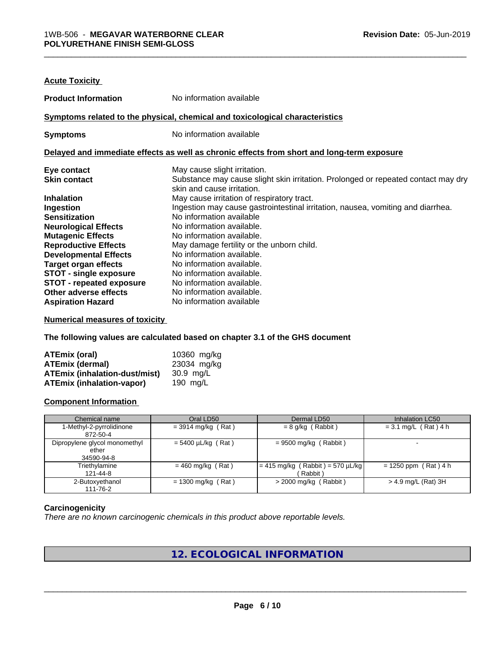| <b>Acute Toxicity</b>           |                                                                                            |
|---------------------------------|--------------------------------------------------------------------------------------------|
| <b>Product Information</b>      | No information available                                                                   |
|                                 | Symptoms related to the physical, chemical and toxicological characteristics               |
| <b>Symptoms</b>                 | No information available                                                                   |
|                                 | Delayed and immediate effects as well as chronic effects from short and long-term exposure |
| Eye contact                     | May cause slight irritation.                                                               |
| <b>Skin contact</b>             | Substance may cause slight skin irritation. Prolonged or repeated contact may dry          |
|                                 | skin and cause irritation.                                                                 |
| <b>Inhalation</b>               | May cause irritation of respiratory tract.                                                 |
| Ingestion                       | Ingestion may cause gastrointestinal irritation, nausea, vomiting and diarrhea.            |
| <b>Sensitization</b>            | No information available                                                                   |
| <b>Neurological Effects</b>     | No information available.                                                                  |
| <b>Mutagenic Effects</b>        | No information available.                                                                  |
| <b>Reproductive Effects</b>     | May damage fertility or the unborn child.                                                  |
| <b>Developmental Effects</b>    | No information available.                                                                  |
| <b>Target organ effects</b>     | No information available.                                                                  |
| <b>STOT - single exposure</b>   | No information available.                                                                  |
| <b>STOT - repeated exposure</b> | No information available.                                                                  |
| Other adverse effects           | No information available.                                                                  |
| <b>Aspiration Hazard</b>        | No information available                                                                   |
|                                 |                                                                                            |

**Numerical measures of toxicity**

**The following values are calculated based on chapter 3.1 of the GHS document**

| <b>ATEmix (oral)</b>                 | 10360 mg/kg |
|--------------------------------------|-------------|
| <b>ATEmix (dermal)</b>               | 23034 mg/kg |
| <b>ATEmix (inhalation-dust/mist)</b> | 30.9 ma/L   |
| <b>ATEmix (inhalation-vapor)</b>     | 190 $mq/L$  |

# **Component Information**

| Chemical name                                        | Oral LD50               | Dermal LD50                                            | Inhalation LC50        |
|------------------------------------------------------|-------------------------|--------------------------------------------------------|------------------------|
| 1-Methyl-2-pyrrolidinone<br>872-50-4                 | $=$ 3914 mg/kg (Rat)    | $= 8$ g/kg (Rabbit)                                    | $= 3.1$ mg/L (Rat) 4 h |
| Dipropylene glycol monomethyl<br>ether<br>34590-94-8 | $= 5400 \mu L/kg$ (Rat) | $= 9500$ mg/kg (Rabbit)                                |                        |
| Triethylamine<br>121-44-8                            | $= 460$ mg/kg (Rat)     | $= 415 \text{ mg/kg}$ (Rabbit) = 570 µL/kg<br>(Rabbit) | $= 1250$ ppm (Rat) 4 h |
| 2-Butoxyethanol<br>111-76-2                          | $= 1300$ mg/kg (Rat)    | $>$ 2000 mg/kg (Rabbit)                                | $> 4.9$ mg/L (Rat) 3H  |

# **Carcinogenicity**

*There are no known carcinogenic chemicals in this product above reportable levels.*

# **12. ECOLOGICAL INFORMATION**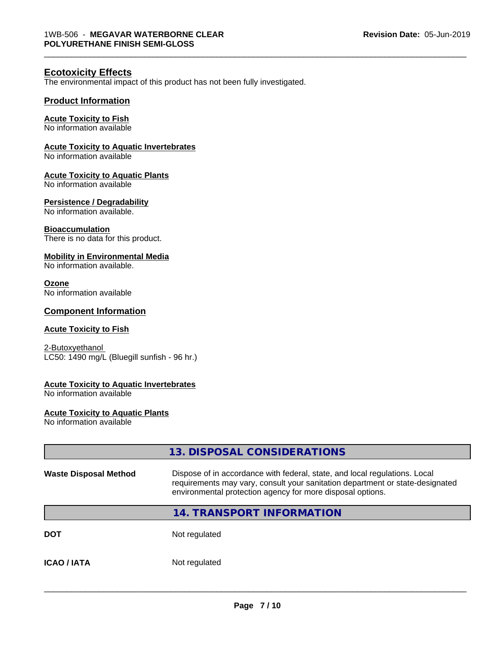# **Ecotoxicity Effects**

The environmental impact of this product has not been fully investigated.

# **Product Information**

#### **Acute Toxicity to Fish**

No information available

# **Acute Toxicity to Aquatic Invertebrates**

No information available

# **Acute Toxicity to Aquatic Plants**

No information available

# **Persistence / Degradability**

No information available.

# **Bioaccumulation**

There is no data for this product.

# **Mobility in Environmental Media**

No information available.

# **Ozone**

No information available

# **Component Information**

# **Acute Toxicity to Fish**

2-Butoxyethanol LC50: 1490 mg/L (Bluegill sunfish - 96 hr.)

## **Acute Toxicity to Aquatic Invertebrates**

No information available

#### **Acute Toxicity to Aquatic Plants**

No information available

|                              | 13. DISPOSAL CONSIDERATIONS                                                                                                                                                                                               |
|------------------------------|---------------------------------------------------------------------------------------------------------------------------------------------------------------------------------------------------------------------------|
| <b>Waste Disposal Method</b> | Dispose of in accordance with federal, state, and local regulations. Local<br>requirements may vary, consult your sanitation department or state-designated<br>environmental protection agency for more disposal options. |
|                              | <b>14. TRANSPORT INFORMATION</b>                                                                                                                                                                                          |
| <b>DOT</b>                   | Not regulated                                                                                                                                                                                                             |
| <b>ICAO/IATA</b>             | Not regulated                                                                                                                                                                                                             |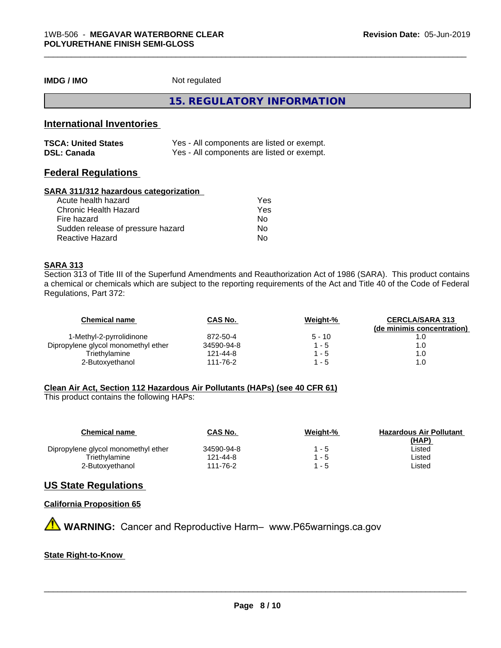**IMDG / IMO** Not regulated

**15. REGULATORY INFORMATION**

\_\_\_\_\_\_\_\_\_\_\_\_\_\_\_\_\_\_\_\_\_\_\_\_\_\_\_\_\_\_\_\_\_\_\_\_\_\_\_\_\_\_\_\_\_\_\_\_\_\_\_\_\_\_\_\_\_\_\_\_\_\_\_\_\_\_\_\_\_\_\_\_\_\_\_\_\_\_\_\_\_\_\_\_\_\_\_\_\_\_\_\_\_

# **International Inventories**

| <b>TSCA: United States</b> | Yes - All components are listed or exempt. |
|----------------------------|--------------------------------------------|
| <b>DSL: Canada</b>         | Yes - All components are listed or exempt. |

# **Federal Regulations**

# **SARA 311/312 hazardous categorization**

| Acute health hazard               | Yes |
|-----------------------------------|-----|
| Chronic Health Hazard             | Yes |
| Fire hazard                       | N٥  |
| Sudden release of pressure hazard | Nο  |
| Reactive Hazard                   | N٥  |

# **SARA 313**

Section 313 of Title III of the Superfund Amendments and Reauthorization Act of 1986 (SARA). This product contains a chemical or chemicals which are subject to the reporting requirements of the Act and Title 40 of the Code of Federal Regulations, Part 372:

| <b>Chemical name</b>                | CAS No.    | Weight-% | <b>CERCLA/SARA 313</b><br>(de minimis concentration) |
|-------------------------------------|------------|----------|------------------------------------------------------|
| 1-Methyl-2-pyrrolidinone            | 872-50-4   | $5 - 10$ |                                                      |
| Dipropylene glycol monomethyl ether | 34590-94-8 | l - 5    | 1.0                                                  |
| Triethvlamine                       | 121-44-8   | 1 - 5    | 1.0                                                  |
| 2-Butoxyethanol                     | 111-76-2   | 1 - 5    | 1.0                                                  |

# **Clean Air Act,Section 112 Hazardous Air Pollutants (HAPs) (see 40 CFR 61)**

This product contains the following HAPs:

| <b>Chemical name</b>                | <b>CAS No.</b> | Weight-% | <b>Hazardous Air Pollutant</b><br>(HAP) |
|-------------------------------------|----------------|----------|-----------------------------------------|
| Dipropylene glycol monomethyl ether | 34590-94-8     | 1 - 5    | ∟isted                                  |
| Triethylamine                       | 121-44-8       | 1 - 5    | Listed                                  |
| 2-Butoxyethanol                     | 111-76-2       | 1 - 5    | ∟isted                                  |

# **US State Regulations**

# **California Proposition 65**

**AVIMARNING:** Cancer and Reproductive Harm– www.P65warnings.ca.gov

# **State Right-to-Know**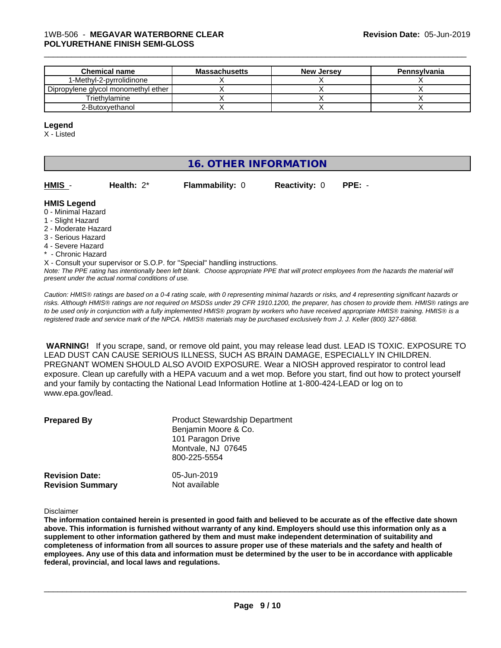| <b>Chemical name</b>                  | <b>Massachusetts</b> | <b>New Jersey</b> | Pennsylvania |
|---------------------------------------|----------------------|-------------------|--------------|
| 1-Methyl-2-pyrrolidinone              |                      |                   |              |
| Dipropylene glycol monomethyl ether I |                      |                   |              |
| Triethvlamine                         |                      |                   |              |
| 2-Butoxvethanol                       |                      |                   |              |

#### **Legend**

X - Listed

# **16. OTHER INFORMATION**

| HMIS | Health: $2^*$ | <b>Flammability: 0</b> | <b>Reactivity: 0 PPE: -</b> |  |
|------|---------------|------------------------|-----------------------------|--|
|      |               |                        |                             |  |

#### **HMIS Legend**

- 0 Minimal Hazard
- 1 Slight Hazard
- 2 Moderate Hazard
- 3 Serious Hazard
- 4 Severe Hazard
- \* Chronic Hazard

X - Consult your supervisor or S.O.P. for "Special" handling instructions.

*Note: The PPE rating has intentionally been left blank. Choose appropriate PPE that will protect employees from the hazards the material will present under the actual normal conditions of use.*

*Caution: HMISÒ ratings are based on a 0-4 rating scale, with 0 representing minimal hazards or risks, and 4 representing significant hazards or risks. Although HMISÒ ratings are not required on MSDSs under 29 CFR 1910.1200, the preparer, has chosen to provide them. HMISÒ ratings are to be used only in conjunction with a fully implemented HMISÒ program by workers who have received appropriate HMISÒ training. HMISÒ is a registered trade and service mark of the NPCA. HMISÒ materials may be purchased exclusively from J. J. Keller (800) 327-6868.*

 **WARNING!** If you scrape, sand, or remove old paint, you may release lead dust. LEAD IS TOXIC. EXPOSURE TO LEAD DUST CAN CAUSE SERIOUS ILLNESS, SUCH AS BRAIN DAMAGE, ESPECIALLY IN CHILDREN. PREGNANT WOMEN SHOULD ALSO AVOID EXPOSURE.Wear a NIOSH approved respirator to control lead exposure. Clean up carefully with a HEPA vacuum and a wet mop. Before you start, find out how to protect yourself and your family by contacting the National Lead Information Hotline at 1-800-424-LEAD or log on to www.epa.gov/lead.

| <b>Prepared By</b>      | <b>Product Stewardship Department</b><br>Benjamin Moore & Co.<br>101 Paragon Drive<br>Montvale, NJ 07645<br>800-225-5554 |
|-------------------------|--------------------------------------------------------------------------------------------------------------------------|
| <b>Revision Date:</b>   | 05-Jun-2019                                                                                                              |
| <b>Revision Summary</b> | Not available                                                                                                            |

Disclaimer

The information contained herein is presented in good faith and believed to be accurate as of the effective date shown above. This information is furnished without warranty of any kind. Employers should use this information only as a **supplement to other information gathered by them and must make independent determination of suitability and** completeness of information from all sources to assure proper use of these materials and the safety and health of employees. Any use of this data and information must be determined by the user to be in accordance with applicable **federal, provincial, and local laws and regulations.**